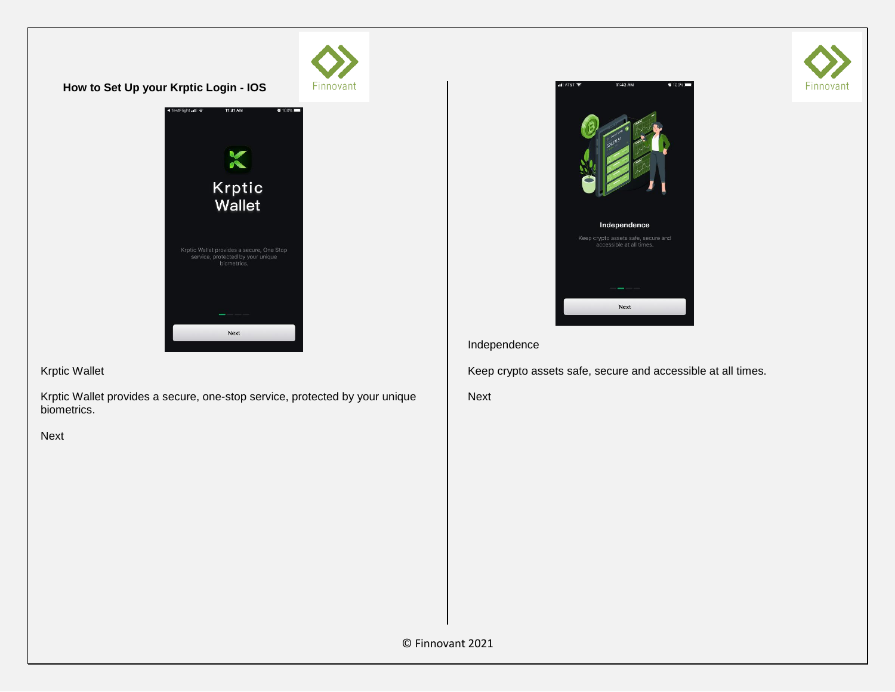

Krptic Wallet

Krptic Wallet provides a secure, one-stop service, protected by your unique biometrics.

Next

Next



## Independence

Keep crypto assets safe, secure and accessible at all times.

Next

© Finnovant 2021

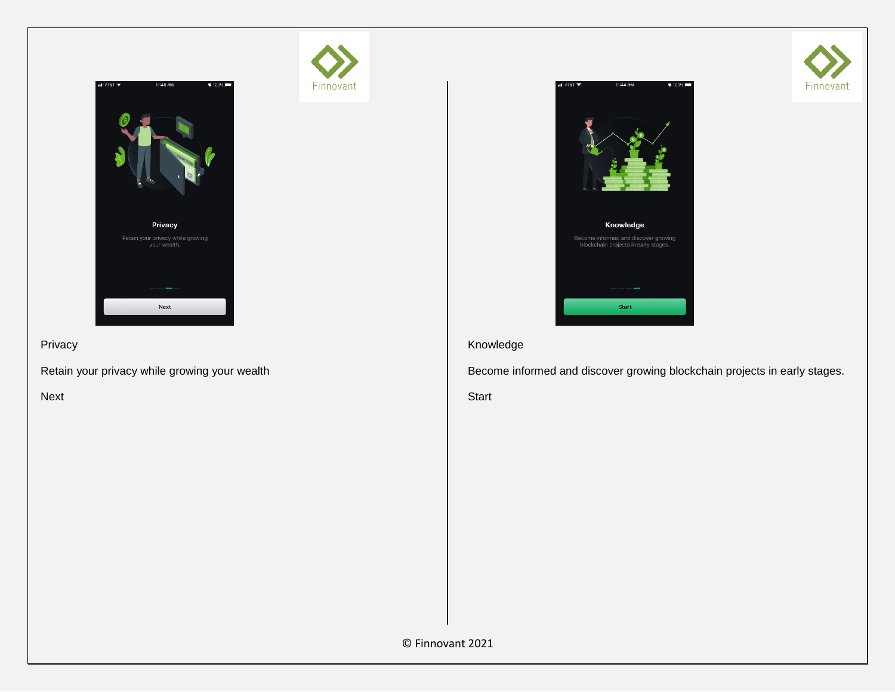

Finnovant

Privacy

Retain your privacy while growing your wealth

Next



# Knowledge

Become informed and discover growing blockchain projects in early stages.

Start

© Finnovant 2021

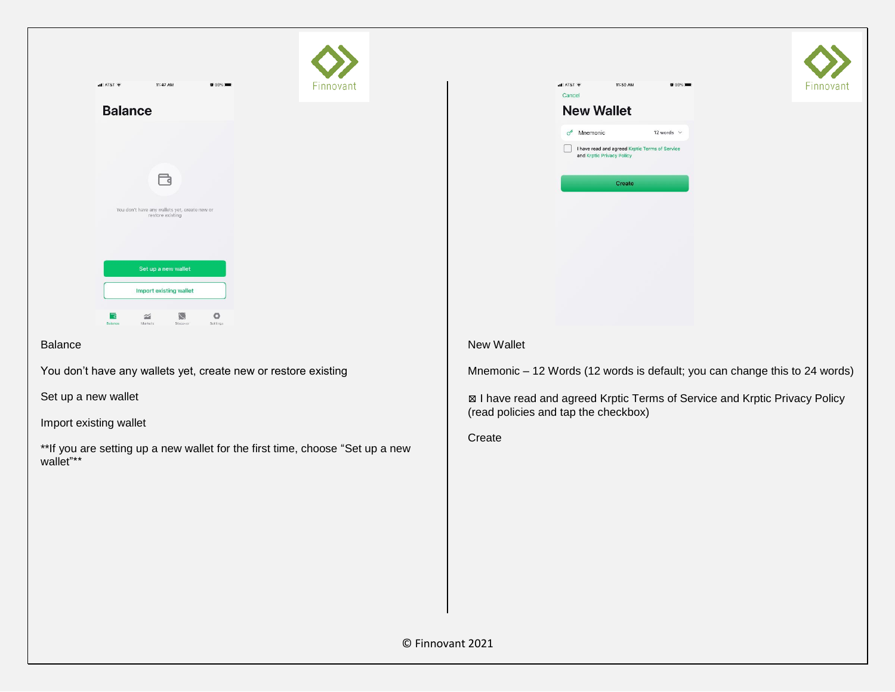| $-$ T&TA $ $   | 11:47 AM                                                          | <b>N</b> 99% | Finnovant |
|----------------|-------------------------------------------------------------------|--------------|-----------|
| <b>Balance</b> |                                                                   |              |           |
|                |                                                                   |              |           |
|                |                                                                   |              |           |
|                |                                                                   |              |           |
|                | You don't have any wallets yet, create new or<br>restore existing |              |           |
|                |                                                                   |              |           |
|                | Set up a new wallet                                               |              |           |
|                | Import existing wallet                                            |              |           |

### Balance

You don't have any wallets yet, create new or restore existing

Set up a new wallet

Import existing wallet

\*\*If you are setting up a new wallet for the first time, choose "Set up a new wallet"\*\*

| Cancel           | <b>New Wallet</b>         |        |                                                |
|------------------|---------------------------|--------|------------------------------------------------|
| $\sigma^{\circ}$ | Mnemonic                  |        | 12 words $\vee$                                |
|                  | and Krptic Privacy Policy |        | I have read and agreed Krptic Terms of Service |
|                  |                           | Create |                                                |

Finnovant

# New Wallet

Mnemonic – 12 Words (12 words is default; you can change this to 24 words)

⊠ I have read and agreed Krptic Terms of Service and Krptic Privacy Policy (read policies and tap the checkbox)

Create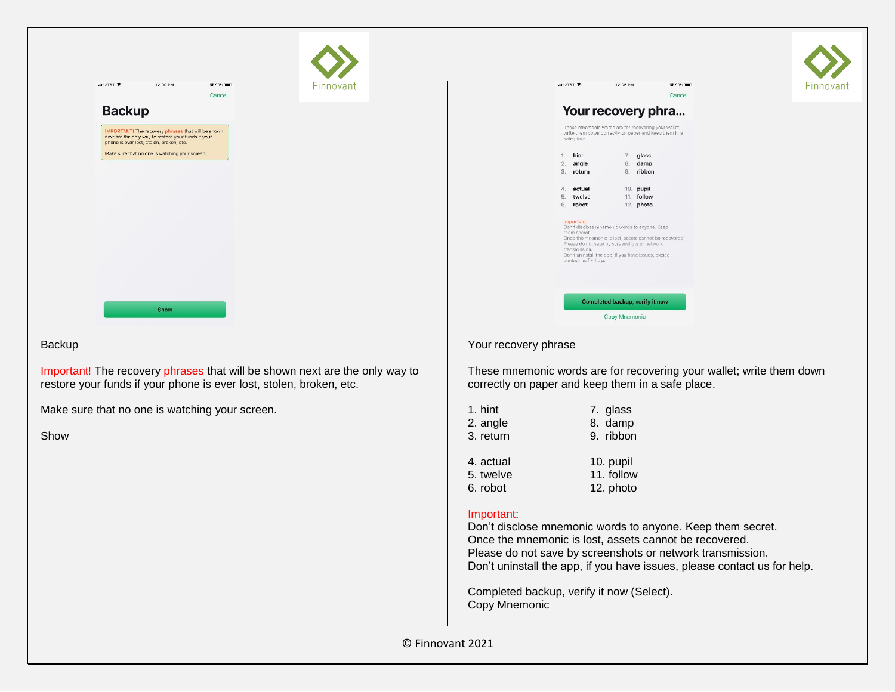| 국 T&TA In.    | 12:00 PM                                                                                                                                              | <b>N</b> 89%<br>Cancel | Finnovant |
|---------------|-------------------------------------------------------------------------------------------------------------------------------------------------------|------------------------|-----------|
| <b>Backup</b> |                                                                                                                                                       |                        |           |
|               | IMPORTANT! The recovery phrases that will be shown<br>next are the only way to restore your funds if your<br>phone is ever lost, stolen, broken, etc. |                        |           |
|               | Make sure that no one is watching your screen.                                                                                                        |                        |           |
|               |                                                                                                                                                       |                        |           |
|               |                                                                                                                                                       |                        |           |
|               |                                                                                                                                                       |                        |           |
|               |                                                                                                                                                       |                        |           |
|               |                                                                                                                                                       |                        |           |
|               |                                                                                                                                                       |                        |           |

### Backup

Important! The recovery phrases that will be shown next are the only way to restore your funds if your phone is ever lost, stolen, broken, etc.

Make sure that no one is watching your screen.

Show

|            | $-4$ AT&T<br>Your recovery phra<br>These mnemonic words are for recovering your wallet.                                                                                                                                                                                               | 12:05 PM                        |           | <b>N</b> 89%<br>Cancel |
|------------|---------------------------------------------------------------------------------------------------------------------------------------------------------------------------------------------------------------------------------------------------------------------------------------|---------------------------------|-----------|------------------------|
|            | write them down correctly on paper and keep them in a<br>safe place.                                                                                                                                                                                                                  |                                 |           |                        |
| 1.         | hint                                                                                                                                                                                                                                                                                  | 7.                              | glass     |                        |
| 2.         | angle                                                                                                                                                                                                                                                                                 | 8.                              | damp      |                        |
| 3.         | return                                                                                                                                                                                                                                                                                |                                 | 9. ribbon |                        |
| $\Delta$ . | actual                                                                                                                                                                                                                                                                                |                                 | 10. pupil |                        |
| 5.         | twelve                                                                                                                                                                                                                                                                                |                                 | 11 follow |                        |
| 6.         | robot                                                                                                                                                                                                                                                                                 |                                 | 12. photo |                        |
|            | Important:<br>Don't disclose mnemonic words to anyone. Keep<br>them secret.<br>Once the mnemonic is lost, assets cannot be recovered.<br>Please do not save by screenshots or network<br>transmission.<br>Don't uninstall the app, if you have issues, please<br>contact us for help. |                                 |           |                        |
|            |                                                                                                                                                                                                                                                                                       | Completed backup, verify it now |           |                        |
|            |                                                                                                                                                                                                                                                                                       |                                 |           |                        |

Finnovant

### Your recovery phrase

These mnemonic words are for recovering your wallet; write them down correctly on paper and keep them in a safe place.

| 1. hint   | 7. glass   |
|-----------|------------|
| 2. angle  | 8. damp    |
| 3. return | 9. ribbon  |
| 4. actual | 10. pupil  |
| 5. twelve | 11. follow |
| 6. robot  | 12. photo  |

# Important:

Don't disclose mnemonic words to anyone. Keep them secret. Once the mnemonic is lost, assets cannot be recovered. Please do not save by screenshots or network transmission. Don't uninstall the app, if you have issues, please contact us for help.

Completed backup, verify it now (Select). Copy Mnemonic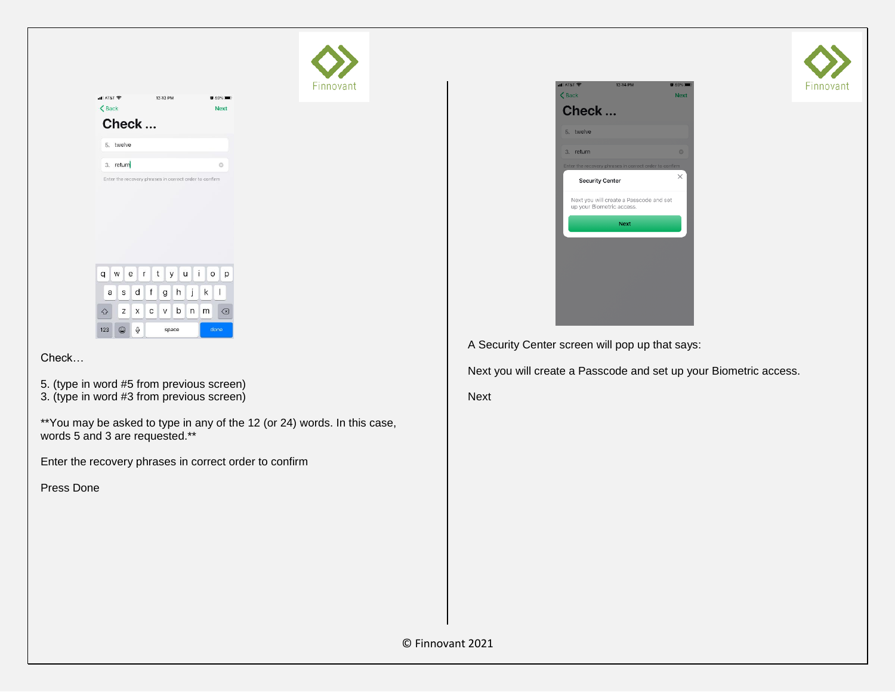| $T$ T&TA In                       | 12:13 PM                                               | <b>N</b> 89%       | Finnovant |
|-----------------------------------|--------------------------------------------------------|--------------------|-----------|
| $\left\langle \right\rangle$ Back |                                                        | <b>Next</b>        |           |
| Check                             |                                                        |                    |           |
| 5. twelve                         |                                                        |                    |           |
| 3. return                         |                                                        | $\circledcirc$     |           |
|                                   | Enter the recovery phrases in correct order to confirm |                    |           |
| q<br>W<br>$e$ $r$                 | y u i<br>t                                             | $\circ$<br>p<br>U. |           |
| d<br>S<br>a                       | f<br>j<br>h<br>g<br>I.                                 | k<br>$\mathbf{I}$  |           |
| $\mathsf{z}$<br>$\times$<br>⇧     | $\mathsf{b}$<br>$c \vee$<br>n                          | $\oslash$<br>m     |           |
| $\mathbb Q$<br>$\odot$<br>123     | space                                                  | done               |           |

Check…

- 5. (type in word #5 from previous screen)
- 3. (type in word #3 from previous screen)

\*\*You may be asked to type in any of the 12 (or 24) words. In this case, words 5 and 3 are requested.\*\*

Enter the recovery phrases in correct order to confirm

Press Done



A Security Center screen will pop up that says:

Next you will create a Passcode and set up your Biometric access.

Next

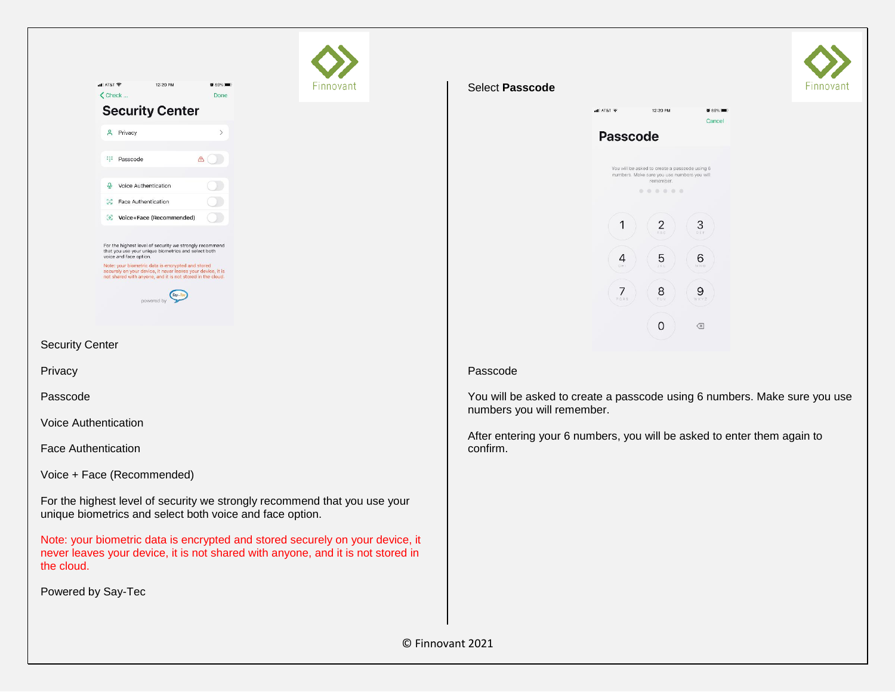|                             | $T = 18T$                              | 12:20 PM                                                                                                                                                                                                                                                                                                                 | <b>N</b> 89%  |
|-----------------------------|----------------------------------------|--------------------------------------------------------------------------------------------------------------------------------------------------------------------------------------------------------------------------------------------------------------------------------------------------------------------------|---------------|
|                             | $\zeta$ Check                          |                                                                                                                                                                                                                                                                                                                          | Done          |
|                             |                                        | <b>Security Center</b>                                                                                                                                                                                                                                                                                                   |               |
|                             | & Privacy                              |                                                                                                                                                                                                                                                                                                                          | $\mathcal{P}$ |
|                             | :::<br>Passcode                        |                                                                                                                                                                                                                                                                                                                          | $\circ$       |
|                             | $\circledcirc$<br>Voice Authentication |                                                                                                                                                                                                                                                                                                                          |               |
|                             | 93<br>Face Authentication              |                                                                                                                                                                                                                                                                                                                          |               |
|                             |                                        | Voice+Face (Recommended)                                                                                                                                                                                                                                                                                                 |               |
|                             | voice and face option.                 | For the highest level of security we strongly recommend<br>that you use your unique biometrics and select both<br>Note: your biometric data is encrypted and stored<br>securely on your device, it never leaves your device, it is<br>not shared with anyone, and it is not stored in the cloud.<br>Say-Te<br>powered by |               |
| <b>Security Center</b>      |                                        |                                                                                                                                                                                                                                                                                                                          |               |
| Privacy                     |                                        |                                                                                                                                                                                                                                                                                                                          |               |
| Passcode                    |                                        |                                                                                                                                                                                                                                                                                                                          |               |
| <b>Voice Authentication</b> |                                        |                                                                                                                                                                                                                                                                                                                          |               |
| <b>Face Authentication</b>  |                                        |                                                                                                                                                                                                                                                                                                                          |               |

Voice + Face (Recommended)

For the highest level of security we strongly recommend that you use your unique biometrics and select both voice and face option.

Note: your biometric data is encrypted and stored securely on your device, it never leaves your device, it is not shared with anyone, and it is not stored in the cloud.

Powered by Say-Tec

#### Select **Passcode**

-innovant



#### Passcode

You will be asked to create a passcode using 6 numbers. Make sure you use numbers you will remember.

After entering your 6 numbers, you will be asked to enter them again to confirm.

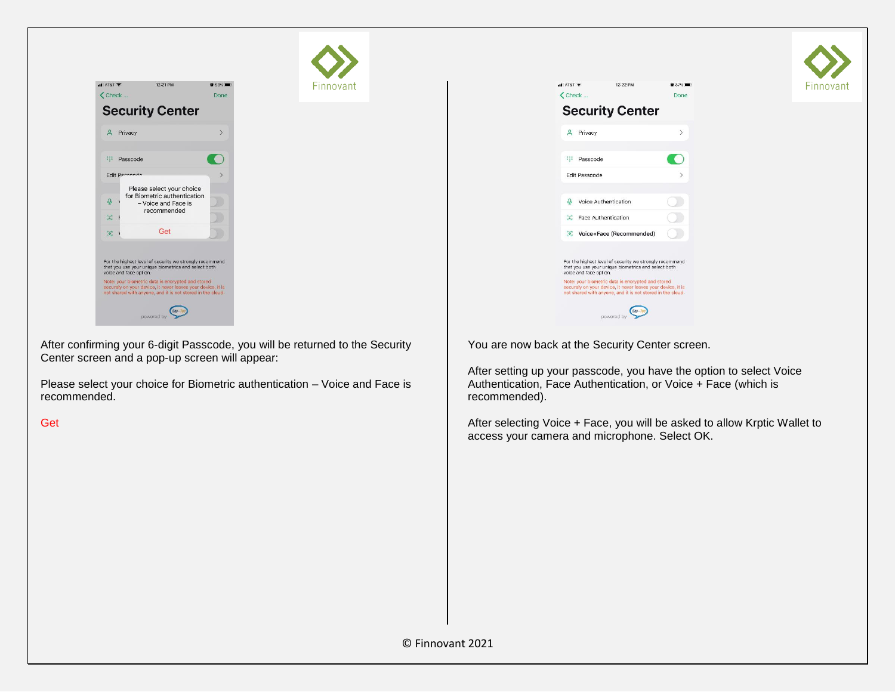

After confirming your 6-digit Passcode, you will be returned to the Security Center screen and a pop-up screen will appear:

Finnovant

Please select your choice for Biometric authentication – Voice and Face is recommended.

**Get** 

| $-$ T&TA In.  | 12:22 PM                                                                                                                                                                                      | <b>B</b> 87%  |
|---------------|-----------------------------------------------------------------------------------------------------------------------------------------------------------------------------------------------|---------------|
| $\zeta$ Check |                                                                                                                                                                                               | Done          |
|               | <b>Security Center</b>                                                                                                                                                                        |               |
| $\mathbf{a}$  | Privacy                                                                                                                                                                                       | $\mathcal{E}$ |
|               | ::: Passcode                                                                                                                                                                                  |               |
|               | <b>Edit Passcode</b>                                                                                                                                                                          |               |
| $\Omega$      | Voice Authentication                                                                                                                                                                          |               |
|               | <b>SC</b> Face Authentication                                                                                                                                                                 |               |
|               | Voice+Face (Recommended)                                                                                                                                                                      |               |
|               | For the highest level of security we strongly recommend<br>that you use your unique biometrics and select both<br>voice and face option.<br>Note: your biometric data is encrypted and stored |               |
|               | securely on your device, it never leaves your device, it is<br>not shared with anyone, and it is not stored in the cloud.                                                                     |               |
|               | powered by                                                                                                                                                                                    | Say-Ter       |

-innovant

You are now back at the Security Center screen.

After setting up your passcode, you have the option to select Voice Authentication, Face Authentication, or Voice + Face (which is recommended).

After selecting Voice + Face, you will be asked to allow Krptic Wallet to access your camera and microphone. Select OK.